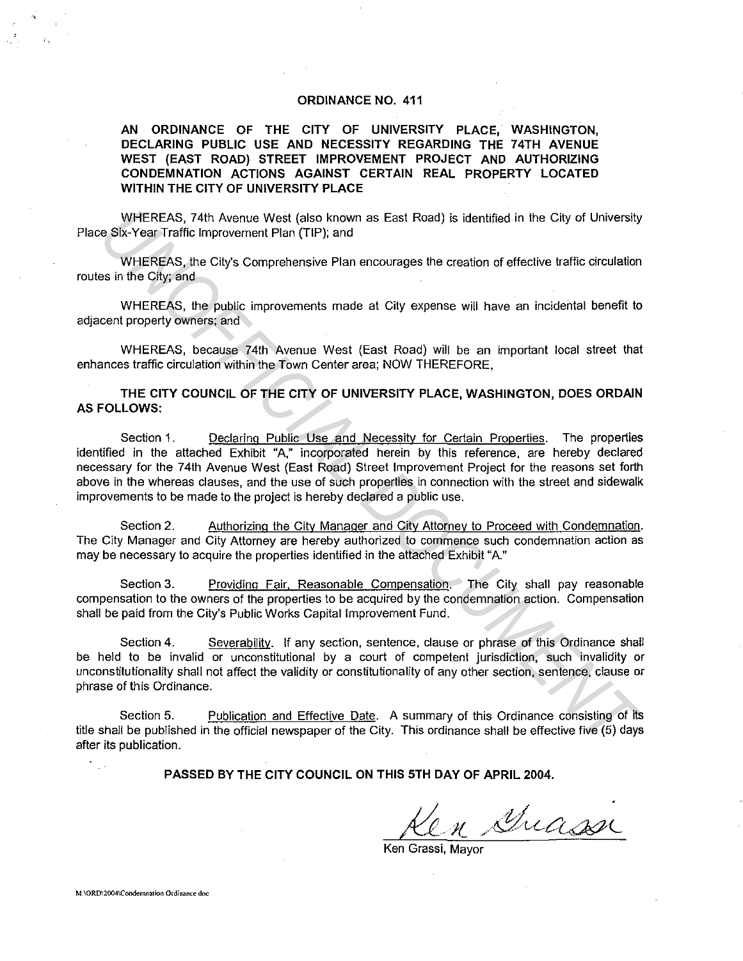### **ORDINANCE NO. 411**

### **AN ORDINANCE OF THE CITY OF UNIVERSITY PLACE, WASHINGTON, DECLARING PUBLIC USE AND NECESSITY REGARDING THE 74TH AVENUE WEST (EAST ROAD) STREET IMPROVEMENT PROJECT AND AUTHORIZING CONDEMNATION ACTIONS AGAINST CERTAIN REAL PROPERTY LOCATED WITHIN THE CITY OF UNIVERSITY PLACE**

WHEREAS, 74th Avenue West (also known as East Road) is identified in the City of University Place Six-Year Traffic Improvement Plan (TIP); and

WHEREAS, the City's Comprehensive Plan encourages the creation of effective traffic circulation routes in the City; and

WHEREAS, the public improvements made at City expense will have an incidental benefit to adiacent property owners; and

WHEREAS, because 74th Avenue West (East Road) will be an important local street that enhances traffic circulation within the Town Center area; NOW THEREFORE,

**THE CITY COUNCIL OF THE CITY OF UNIVERSITY PLACE, WASHINGTON, DOES ORDAIN AS FOLLOWS:** 

Section 1. Declaring Public Use and Necessity for Certain Properties. The properties identified in the attached Exhibit "A," incorporated herein by this reference, are hereby declared necessary for the 74th Avenue West (East Road) Street Improvement Project for the reasons set forth above in the whereas clauses, and the use of such properties in connection with the street and sidewalk improvements to be made to the project is hereby declared a public use. WHEREAS, 74th Avenue West (also known as East Road) is identified in the City of University<br>
SiX-Yoar Traffic Interpretent Plan (TIP); and<br>
WHEREAS, the City's Comprehensive Plan encourages the creation of effective traffi

Section 2. Authorizing the City Manager and City Attorney to Proceed with Condemnation. The City Manager and City Attorney are hereby authorized to commence such condemnation action as may be necessary to acquire the properties identified in the attached Exhibit "A."

Section 3. Providing Fair, Reasonable Compensation. The City shall pay reasonable compensation to the owners of the properties to be acquired by the condemnation action. Compensation shall be paid from the City's Public Works Capital Improvement Fund.

Section 4. Severability. If any section, sentence, clause or phrase of this Ordinance shall be held to be invalid or unconstitutional by a court of competent jurisdiction, such invalidity or unconstitutionality shall not affect the validity or constitutionality of any other section, sentence, clause or phrase of this Ordinance.

Section 5. Publication and Effective Date. A summary of this Ordinance consisting of its title shall be published in the official newspaper of the City. This ordinance shall be effective five (5) days after its publication.

**PASSED BY THE CITY COUNCIL ON THIS 5TH DAY OF APRIL 2004.** 

 $\ell$ n Guassi

Ken Grassi, Mayor

**M.\ORD\2004\Condemnation Ordinance doc**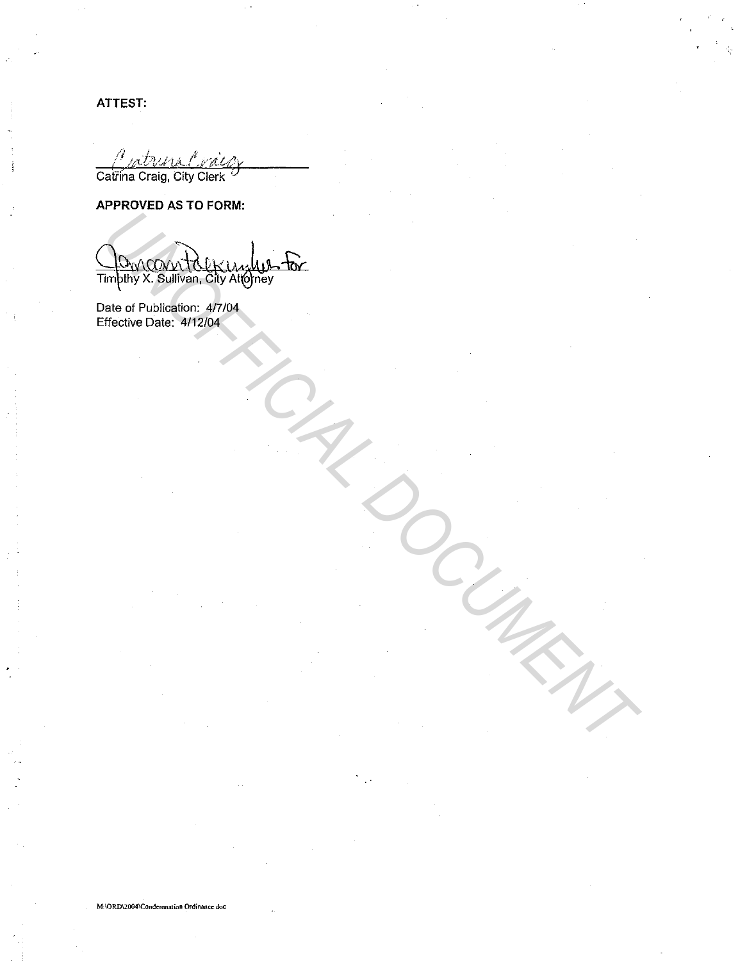ATTEST:

A sat Catrina Craig, City Clerk

# APPROVED AS TO FORM:

JAM ( **M** Timpthy X. Sullivan, City Attorney

Date of Publication: 4/7/04<br>Effective Date: 4/12/04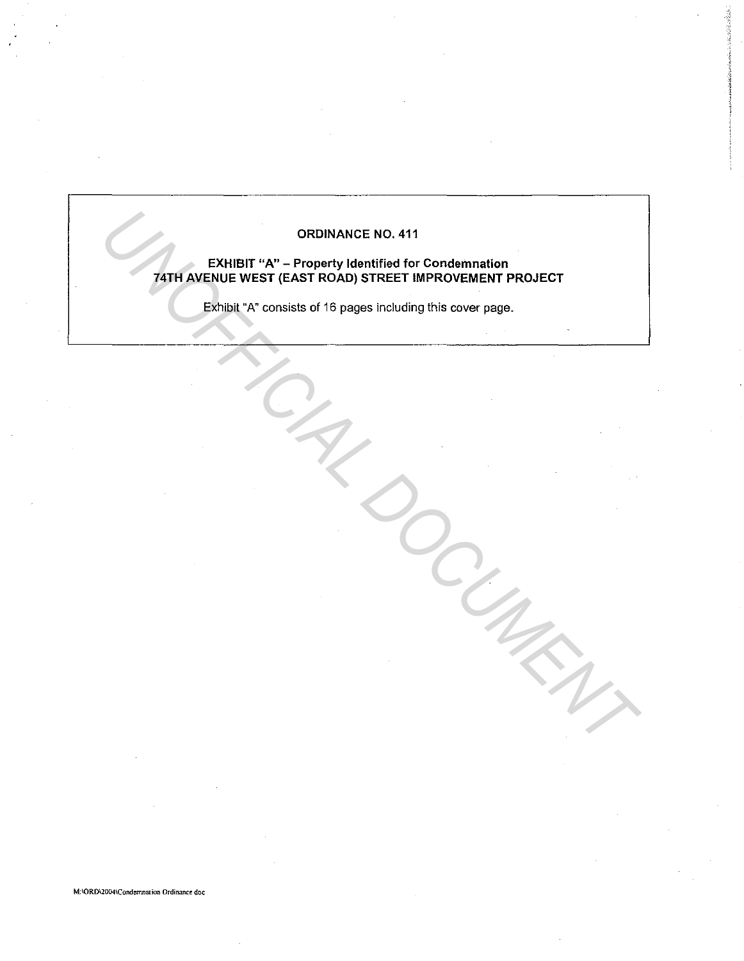# ORDINANCE NO. 411

# EXHIBIT "A" - Property Identified for Condemnation 74TH AVENUE WEST {EAST ROAD) STREET IMPROVEMENT PROJECT ORDINANCE NO. 411<br> **PATH AVENUE WEST (EAST ROAD) STREET IMPROVEMENT PROJECT**<br>
EXPIDEL "A" consists of 16 pages including this cover page.

Exhibit "A" consists of 16 pages including this cover page.

M:\ORD\2004\Condemnation Ordinance doc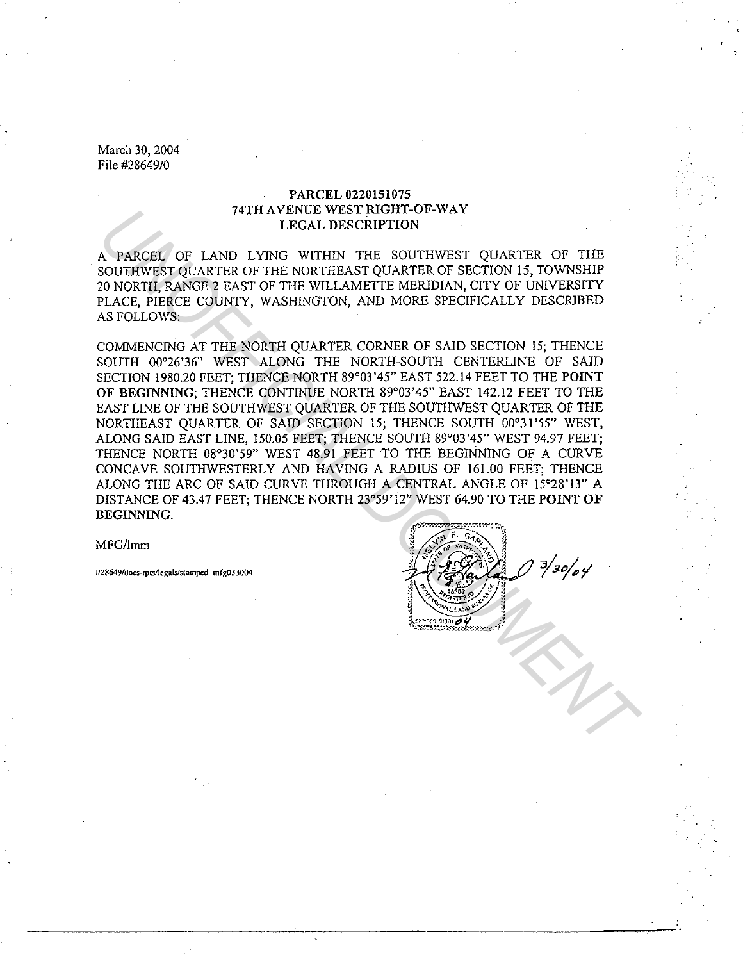### PARCEL 0220151075 74TH AVENUE WEST RIGHT-OF-WAY LEGAL DESCRIPTION

A PARCEL OF LAND LYING WITHIN THE SOUTHWEST QUARTER OF THE SOUTHWEST QUARTER OF THE NORTHEAST QUARTER OF SECTION 15, TOWNSHIP 20 NORTH, RANGE 2 EAST OF THE WILLAMETTE MERIDIAN, CITY OF UNIVERSITY PLACE, PIERCE COUNTY, WASHINGTON, AND MORE SPECIFICALLY DESCRIBED AS FOLLOWS:

COMMENCING AT THE NORTH QUARTER CORNER OF SAID SECTION 15; THENCE SOUTH 00°26'36" WEST ALONG THE NORTH-SOUTH CENTERLINE OF SAID SECTION 1980.20 FEET; THENCE NORTH 89°03'45" EAST 522.14 FEET TO THE POINT OF BEGINNING; THENCE CONTINUE NORTH 89°03'45" EAST 142.12 FEET TO THE EAST LINE OF THE SOUTHWEST QUARTER OF THE SOUTHWEST QUARTER OF THE NORTHEAST QUARTER OF SAID SECTION 15; THENCE SOUTH 00°31 '55" WEST, ALONG SAID EAST LINE, 150.05 FEET; THENCE SOUTH 89°03'45" WEST 94.97 FEET; THENCE NORTH 08°30'59" WEST 48.91 FEET TO THE BEGINNING OF A CURVE CONCAVE SOUTHWESTERLY AND HAVING A RADIUS OF 161.00 FEET; THENCE ALONG THE ARC OF SAID CURVE THROUGH A CENTRAL ANGLE OF 15°28'13" A DISTANCE OF 43.47 FEET; THENCE NORTH 23°59'12" WEST 64.90 TO THE POINT OF BEGINNING. 741H AVERIC DESCRIPTION<br>
LEGAL DESCRIPTION<br>
LEGAL DESCRIPTION<br>
CONTENSITO WITHIN THE SOUTHWEST QUARTER OF THE<br>
DO NORTH, RANGE 2 EAST OF THE WORTHEAST QUARTER NO ERSCRIPTION<br>
DO NORTH, RANGE 2 EAST OF THE WILLAMETTE MERDIA

MFG/Imm

**lf2 8649/docs-rptsflc:galsfstampcd \_ mfgOJ3004**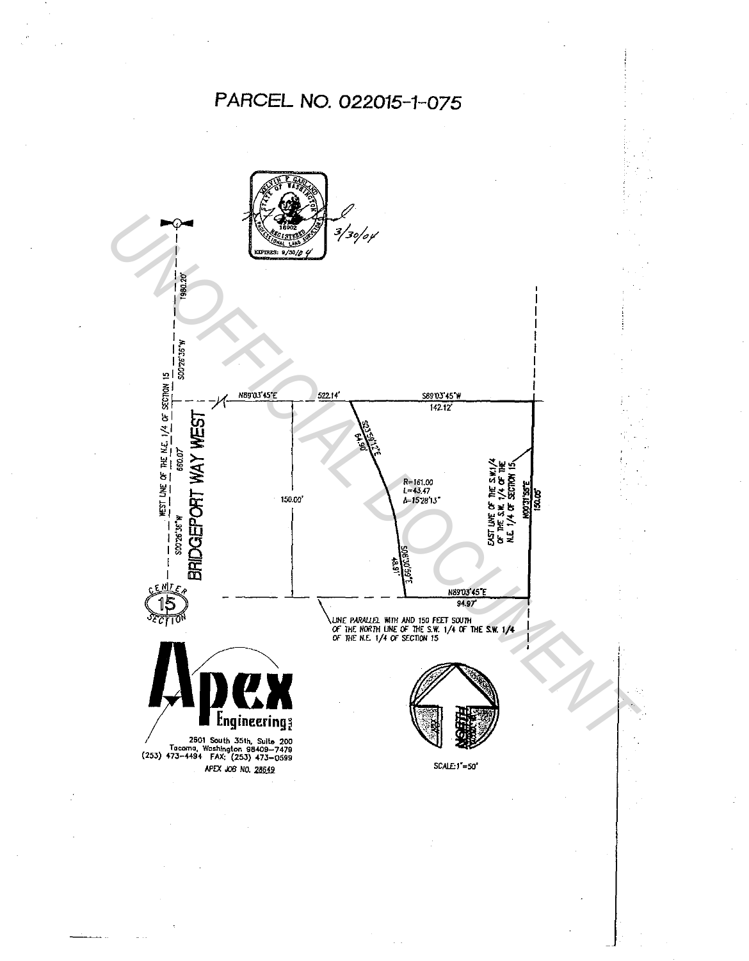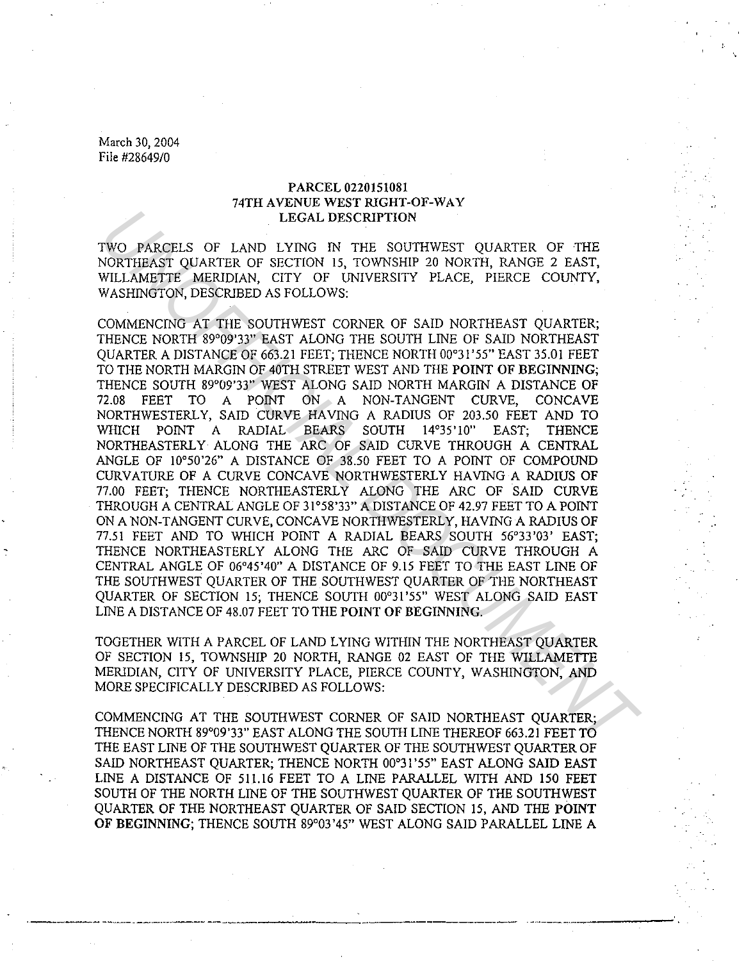### PARCEL 0220151081 74TH AVENUE WEST RIGHT-OF-WAY LEGAL DESCRIPTION

TWO PARCELS OF LAND LYING IN THE SOUTHWEST QUARTER OF THE NORTHEAST QUARTER OF SECTION 15, TOWNSHIP 20 NORTH, RANGE 2 EAST, WILLAMETTE MERIDIAN, CITY OF UNIVERSITY PLACE, PIERCE COUNTY, WASHINGTON, DESCRIBED AS FOLLOWS:

COMMENCING AT THE SOUTHWEST CORNER OF SAID NORTHEAST QUARTER; THENCE NORTH 89°09'33" EAST ALONG THE SOUTH LINE OF SAID NORTHEAST QUARTER A DISTANCE OF 663.21 FEET; THENCE NORTH 00°31'55" EAST 35.01 FEET TO THE NORTH MARGIN OF 40TH STREET WEST AND THE POINT OF BEGINNING; THENCE SOUTH 89°09'33" WEST ALONG SAID NORTH MARGIN A DISTANCE OF 72.08 FEET TO A POINT ON A NON-TANGENT CURVE, CONCAVE NORTHWESTERLY, SAID CURVE HAVING A RADIUS OF 203.50 FEET AND TO WHICH POINT A RADIAL BEARS SOUTH 14°35'10" EAST; THENCE NORTHEASTERLY ALONG THE ARC OF SAID CURVE THROUGH A CENTRAL ANGLE OF 10°50'26" A DISTANCE OF 38.50 FEET TO A POINT OF COMPOUND CURVATURE OF A CURVE CONCAVE NORTHWESTERLY HAVING A RADIUS OF 77.00 FEET; THENCE NORTHEASTERLY ALONG THE ARC OF SAID CURVE THROUGH A CENTRAL ANGLE OF 31°58'33" A DISTANCE OF 42.97 FEET TO A POINT ON A NON-TANGENT CURVE, CONCAVE NORTHWESTERLY, HAVING A RADIUS OF 77.51 FEET AND TO WHICH POINT A RADIAL BEARS SOUTH 56°33'03' EAST; THENCE NORTHEASTERLY ALONG THE ARC OF SAID CURVE THROUGH A CENTRAL ANGLE OF 06°45'40" A DISTANCE OF 9.15 FEET TO THE EAST LINE OF THE SOUTHWEST QUARTER OF THE SOUTHWEST QUARTER OF THE NORTHEAST QUARTER OF SECTION 15; THENCE SOUTH 00°31'55" WEST ALONG SAID EAST LINE A DISTANCE OF 48.07 FEET TO THE POINT OF BEGINNING. LIEGAL DESCRIPTION<br>
TWO PARCELS OF LAND LYNNG IN THE SOUTHWEST QUARTER OF THE NORTHEAST QUARTER OF SECTION IS, TOWNSHIP 20 NORTHEAST PLACE, FIERCE COUNTY, WASHINGTON, DESCRIBED AS POLITONS.<br>
WILLAMETTE MERUDIAN, CITY OF UN

TOGETHER WITH A PARCEL OF LAND LYING WITHIN THE NORTHEAST QUARTER OF SECTION 15, TOWNSHIP 20 NORTH, RANGE 02 EAST OF THE WILLAMETTE MERIDIAN, CITY OF UNIVERSITY PLACE, PIERCE COUNTY, WASHINGTON, AND MORE SPECIFICALLY DESCRIBED AS FOLLOWS:

COMMENCING AT THE SOUTHWEST CORNER OF SAID NORTHEAST QUARTER; THENCE NORTH 89°09'33" EAST ALONG THE SOUTH LINE THEREOF 663.21 FEET TO THE EAST LINE OF THE SOUTHWEST QUARTER OF THE SOUTHWEST QUARTER OF SAID NORTHEAST QUARTER; THENCE NORTH 00°31 '55" EAST ALONG SAID EAST LINE A DISTANCE OF 511.16 FEET TO A LINE PARALLEL WITH AND I50 FEET SOUTH OF THE NORTH LINE OF THE SOUTHWEST QUARTER OF THE SOUTHWEST QUARTER OF THE NORTHEAST QUARTER OF SAID SECTION 15, AND THE **POINT**  OF BEGINNING; THENCE SOUTH 89°03'45" WEST ALONG SAID PARALLEL LINE A

----------------·-------- -··----·---·-·-- -----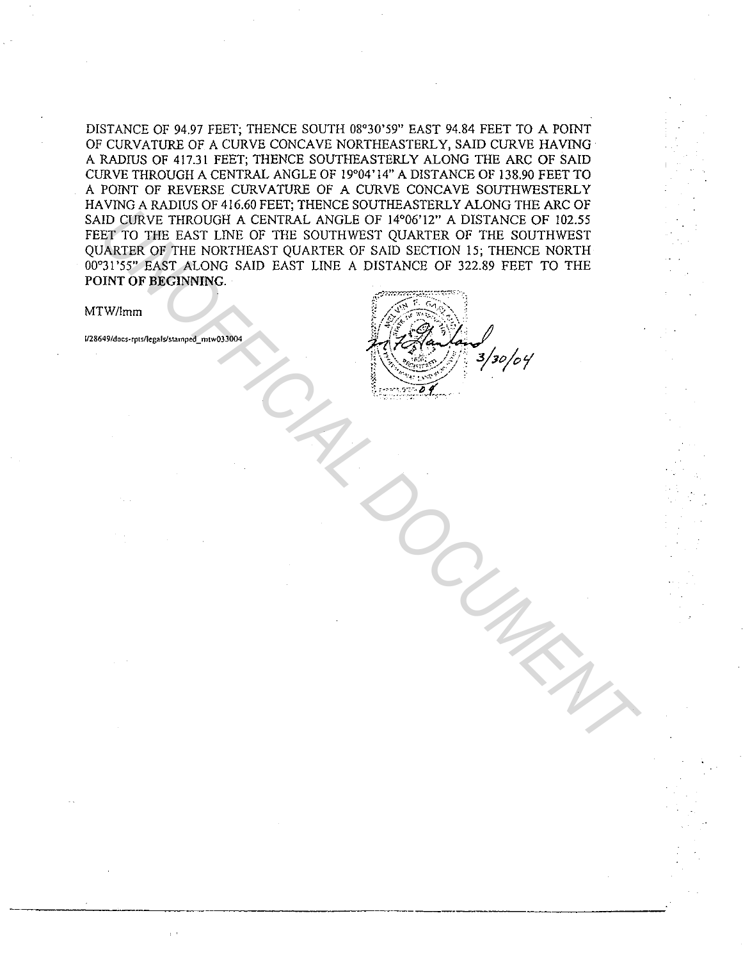DISTANCE OF 94.97 FEET; THENCE SOUTH 08°30'59" EAST 94.84 FEET TO A POINT OF CURVATURE OF A CURVE CONCAVE NORTHEASTERLY, SAID CURVE HAVING A RADIUS OF 417.31 FEET; THENCE SOUTHEASTERLY ALONG THE ARC OF SAID CURVE THROUGH A CENTRAL ANGLE OF 19°04'14" A DISTANCE OF 138.90 FEET TO A POINT OF REVERSE CURVATURE OF A CURVE CONCAVE SOUTHWESTERLY HA YING A RADIUS OF 416.60 FEET; THENCE SOUTHEASTERLY ALONG THE ARC OF SAID CURVE THROUGH A CENTRAL ANGLE OF 14°06'12" A DISTANCE OF 102.55 FEET TO THE EAST LINE OF THE SOUTHWEST QUARTER OF THE SOUTHWEST QUARTER OF THE NORTHEAST QUARTER OF SAID SECTION 15; THENCE NORTH 00°31 '55" EAST ALONG SAID EAST LINE A DISTANCE OF 322.89 FEET TO THE POINT OF BEGINNING. ID CURVE THROUGH A CENTRAL ANGLE OF 14700'LE" A DISTANCE OF 102.53<br>
ET TO THE E AST LINE OF THE SOUTHWEST QUARTER OF SAID SECTION 15, THENCE NORTHWEST<br>
INTER OF THE NORTHEAST QUARTER OF SAID SECTION 15, THENCE NORTHERED TH

### MTW/lmm

**1/28649/docs-rpts/legalslstamped \_ mtw033004** 

| ż, |  |                              |
|----|--|------------------------------|
|    |  |                              |
|    |  | $\rangle$ зо $/$ о $\gamma'$ |
|    |  |                              |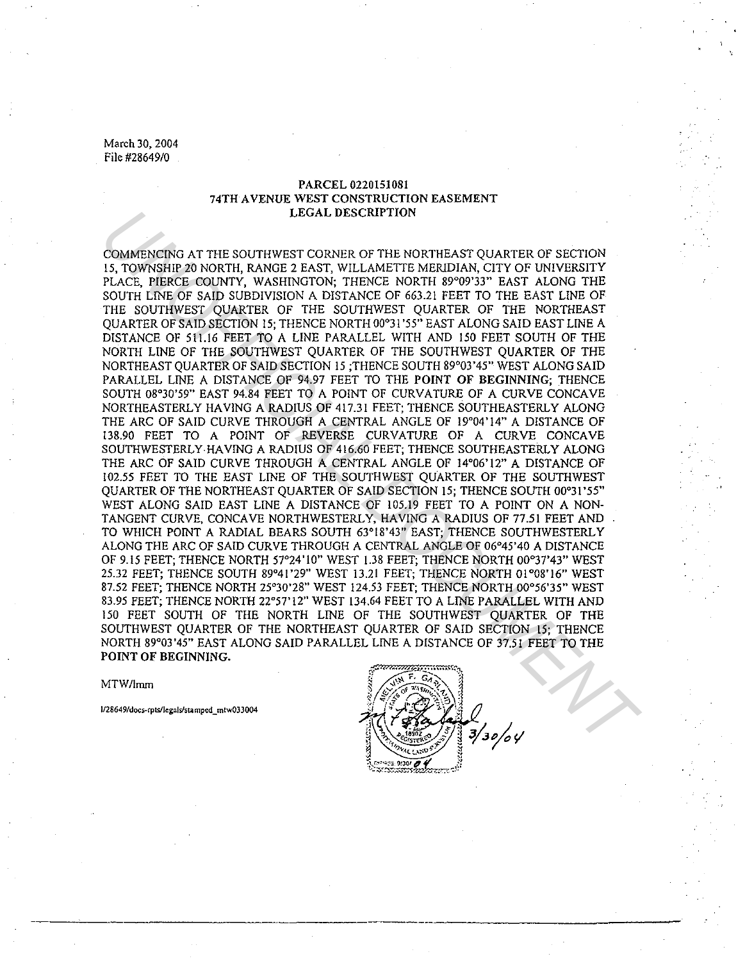### PARCEL 0220151081 74TH A VENUE WEST CONSTRUCTION EASEMENT LEGAL DESCRIPTION

COMMENCING AT THE SOUTHWEST CORNER OF THE NORTHEAST QUARTER OF SECTION 15, TOWNSHIP 20 NORTH, RANGE 2 EAST, WILLAMETTE MERJDIAN, CITY OF UNIVERSITY PLACE, PIERCE COUNTY, WASHINGTON; THENCE NORTH 89°09'33" EAST ALONG THE SOUTH LfNE OF SAID SUBDIVISION A DISTANCE OF 663.21 FEET TO THE EAST LINE OF THE SOUTHWEST QUARTER OF THE SOUTHWEST QUARTER OF THE NORTHEAST QUARTER OF SAID SECTION 15; THENCE NORTH 00°31 '55" EAST ALONG SAID EAST LINE A DISTANCE OF 51!.16 FEET TO A LINE PARALLEL WITH AND 150 FEET SOUTH OF THE NORTH LINE OF THE SOUTHWEST QUARTER OF THE SOUTHWEST QUARTER OF THE NORTHEAST QUARTER OF SAID SECTION 15 ;THENCE SOUTH 89°03'45" WEST ALONG SAID PARALLEL LINE A DISTANCE OF 94.97 FEET TO THE POINT OF BEGINNING; THENCE SOUTH 08°30'59" EAST 94.84 FEET TO A POINT OF CURVATURE OF A CURVE CONCAVE NORTHEASTERLY HAVING A RADIUS OF 417.31 FEET; THENCE SOUTHEASTERLY ALONG THE ARC OF SAID CURVE THROUGH A CENTRAL ANGLE OF 19'04'14" A DISTANCE OF 138.90 FEET TO A POINT OF REVERSE CURVATURE OF A CURVE CONCAVE SOUTHWESTERLY- HAVING A RADIUS OF 416.60 FEET; THENCE SOUTHEASTERLY ALONG THE ARC OF SAID CURVE THROUGH A CENTRAL ANGLE OF 14°06'12" A DISTANCE OF 102.55 FEET TO THE EAST LINE OF THE SOUTHWEST QUARTER OF THE SOUTHWEST QUARTER OF THE NORTHEAST QUARTER OF SAID SECTION 15; THENCE SOUTH 00°31'55" WEST ALONG SAID EAST LINE A DISTANCE OF 105.19 FEET TO A POINT ON A NON-TANGENT CURVE, CONCAVE NORTHWESTERLY, HAVING A RADIUS OF 77.51 FEET AND TO WHICH POINT A RADIAL BEARS SOUTH 63°18'43" EAST; THENCE SOUTHWESTERLY ALONG THE ARC OF SAID CURVE THROUGH A CENTRAL ANGLE OF 06°45'40 A DISTANCE OF 9.15 FEET; THENCE NORTH 57°24'10" WEST l.38 FEET; THENCE NORTH 00°37'43" WEST 25.32 FEET; THENCE SOUTH 89°41'29" WEST 13.21 FEET; THENCE NORTH 01°08'16" WEST 87.52 FEET; THENCE NORTH 25°30'28" WEST 124.53 FEET; THENCE NORTH 00°56'35" WEST 83.95 FEET; THENCE NORTH 22°57'!2" WEST 134.64 FEET TO A LINE PARALLEL WITH AND 150 FEET SOUTH OF THE NORTH LINE OF THE SOUTHWEST QUARTER OF THE SOUTHWEST QUARTER OF THE NORTHEAST QUARTER OF SAID SECTION 15; THENCE NORTH 89°03'45" EAST ALONG SAID PARALLEL LINE A DISTANCE OF 37.5I FEET TO THE POINT OF BEGINNING. LEGAL DESCRIPTION<br>
LEGAL DESCRIPTION<br>
USING AT THE SOUTHWEST CONNER OF THE NORTHEAST QUARTER OF SECTION<br>
PLACE, PIERCE COLNTY, WASHINGTON, THEMCE NORTH B979737 EAST ALONG THE<br>
BOUTHWEST QUARTER OF THE SOUTHWEST QUARTER DET

MTW/lmm

**J/28649/docs-rpls/legals/stamped \_ mlw03J004**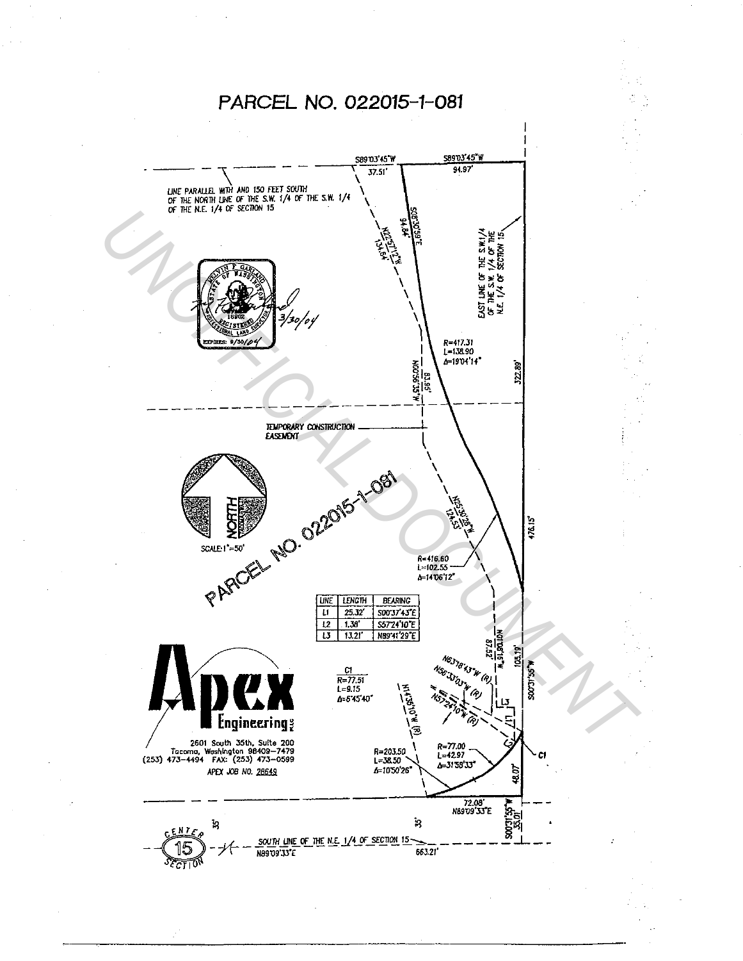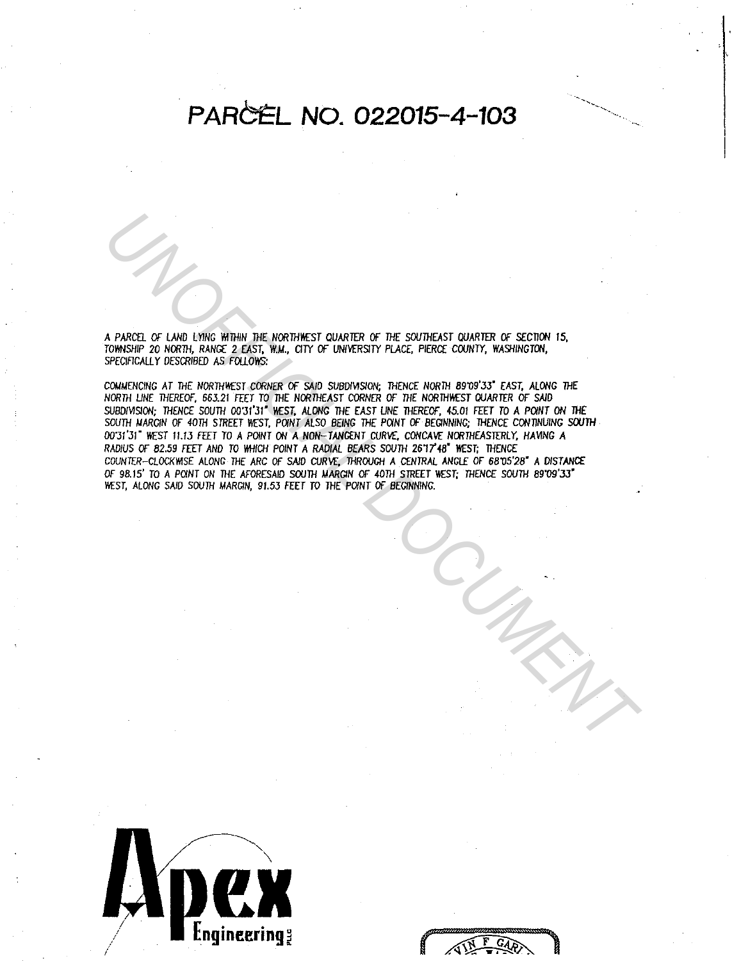# PARCEL NO. 022015-4-103

A PARCEL OF LAND LYING WITHIN THE NORTHWEST QUARTER OF THE SOUTHEAST QUARTER OF SECTION 15, TOWNSHIP 20 NORTH, RANGE 2 EAST, W.M., CITY OF UNIVERSITY PLACE, PIERCE COUNTY, WASHINGTON, SPECIFICALLY DESCRIBED AS FOLLOWS:

COMMENCING AT THE NORTHWEST CORNER OF SAID SUBDIVISION; THENCE NORTH 89'09'33" EAST, ALONG THE NORTH LINE THEREOF, 663.21 FEET TO THE NORTHEAST CORNER OF THE NORTHWEST QUARTER OF SAID SUBDIVISION; THENCE SOUTH 00'31'31" WEST, ALONG THE EAST LINE THEREOF, 45.01 FEET TO A POINT ON THE SOUTH NARGIN OF 40TH STREET WEST, POINT ALSO BEING THE POINT OF BEGINNING; THENCE CONTINUING SOUTH 00'31'31" WEST 11.13 FEET TO A POINT ON A NON-TANGENT CURVE, CONCAVE NORTHEASTERLY, HAVING A RADIUS OF 82.59 FEET AND TO WHICH POINT A RADIAL BEARS SOUTH 26'17'48" WEST; THENCE COUNTER-CLOCKWISE ALONG THE ARC OF SAID CURVE, THROUGH A CENTRAL ANGLE OF 68'05'28" A DISTANCE OF 98.15' TO A POINT ON THE AFORESAID SOUTH MARGIN OF 40TH STREET WEST: THENCE SOUTH 89'09'33" WEST, ALONG SAID SOUTH MARGIN, 91.53 FEET TO THE POINT OF BEGINNING.

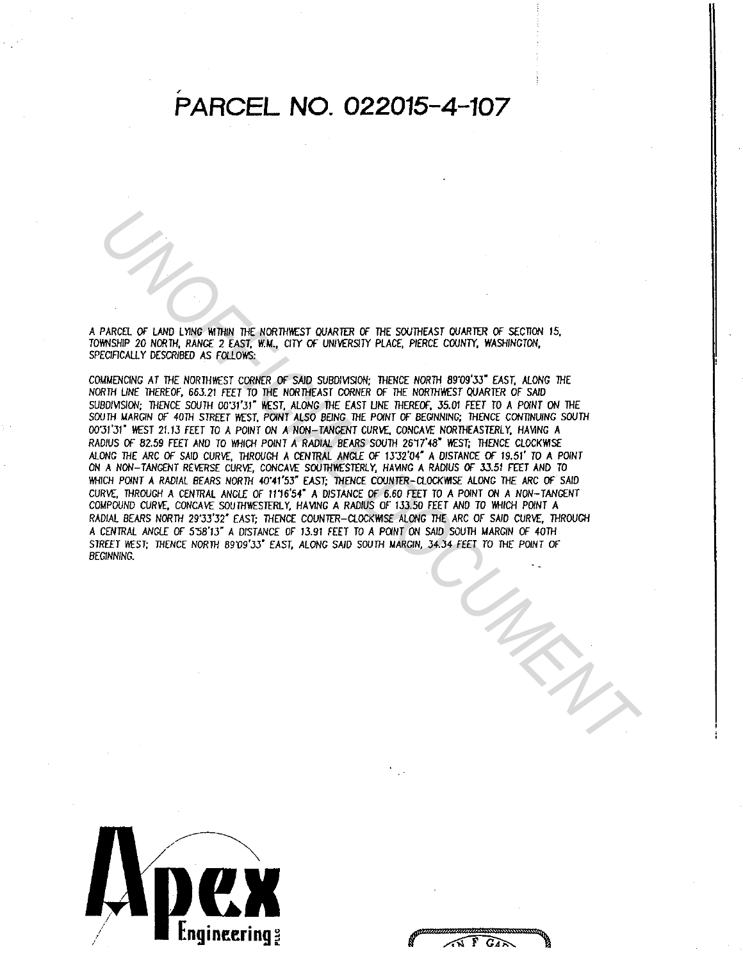# ' **PARCEL NO. 022015-4-107**

A PARCEL *or* LAND Ll1NG Vt!JH/N THE NORTHWEST QUARTER OF THE SOUTHEAST QUARTER *or* SECTION 15, TOVINSH/P 20 NORJH, RANGE 2 EAST, W.M., CITY Of UN/VfRS/TY PLACE, PIERCE COUNTY, WASHINGTON, SPECIFICALLY DESCRIBED AS FOLLOWS:

COMMENCING AT THE NORTHWEST CORNER OF SAID SUBDIVISION; THENCE NORTH 89'09'33" EAST, ALONG THE NORTH LINE THEREOF, 663.21 FEET TO THE NORTHEAST CORNER OF THE NORTHWEST QUARTER OF SAID SUBDIVISION; THENCE SOUTH 00'31'31" WEST, ALONG THE EAST LINE THEREOF, 35.01 FEET TO A POINT ON THE SOUTH MARGIN OF 40TH STREET WEST, POINT ALSO BEING THE POINT OF BEGINNING; THENCE CONTINUING SOUTH 00'31'31" WEST 21.13 FEET TO A POINT ON A NON-TANGENT CURVE, CONCAVE NORTHEASTERLY, HAVING A RADIUS OF 82.59 FEET AND TO WHICH POINT A RADIAL BEARS SOUTH 26'17'48" WEST; THENCE CLOCKWISE ALONG THE ARC OF SAID CURVf, THROUGH A CENTRAL ANGLE OF 13"32'04" A DISTANCE Of 19.51' TO A POlNT ON A NON-TANGENT REVERSE CURVE, CONCAVE SOUTHWESTERLY, HAVING A RADIUS OF 33.51 FEET AND TO WHICH POINT A RADIAL BEARS NORTH 40'41'53" EAST; THENCE COUNTER-CLOCKWISE ALONG THE ARC OF SAID CURVE, JHROUGH A CENTRAL ANGLE OF 1116'54" A DISTANCE Of 6.60 FEET TO A POlNT ON A NON-TANGENT COMPOUND CURVE, CONCAVE SOUTHWESTERLY, HAVING A RADIUS OF 133.50 FEET AND TO WHICH POINT A RADIAL BEARS NORTH 29'JJ'32" EAST; THENCE COUNTER-CLOCKWISE ALONG THE ARC OF SAID CURVE, THROUGH A CENTRAL ANGLE OF 5'58'13" A DISTANCE OF 13.91 FEET TO A POINT ON SAID SOUTH MARGIN OF 40TH STREET WEST; THENCE NORTH 89'09'33" EAST, ALONG SAID SOUTH MARGIN, 34.34 FEET TO THE POINT OF BEGINNING. **PARKEL OF LAND LYDE WE THEN INCREASED CONVERSE OF SOMEONER CONFIRM OF SCIENCIAL DESCRIPTIONS CONFIDENT IS SECTON<br>
MINGHIP 20 NORTH, RAWGE 2 FAST, WAL, CITY OF UNIVERSITY PLACE, PERCE CONFIT, WASHROTON, 15,<br>
MINGHIPS 20 NO** 

 $\widehat{N}$   $\widehat{F}$   $\widehat{G}$  $\widehat{R}$ 

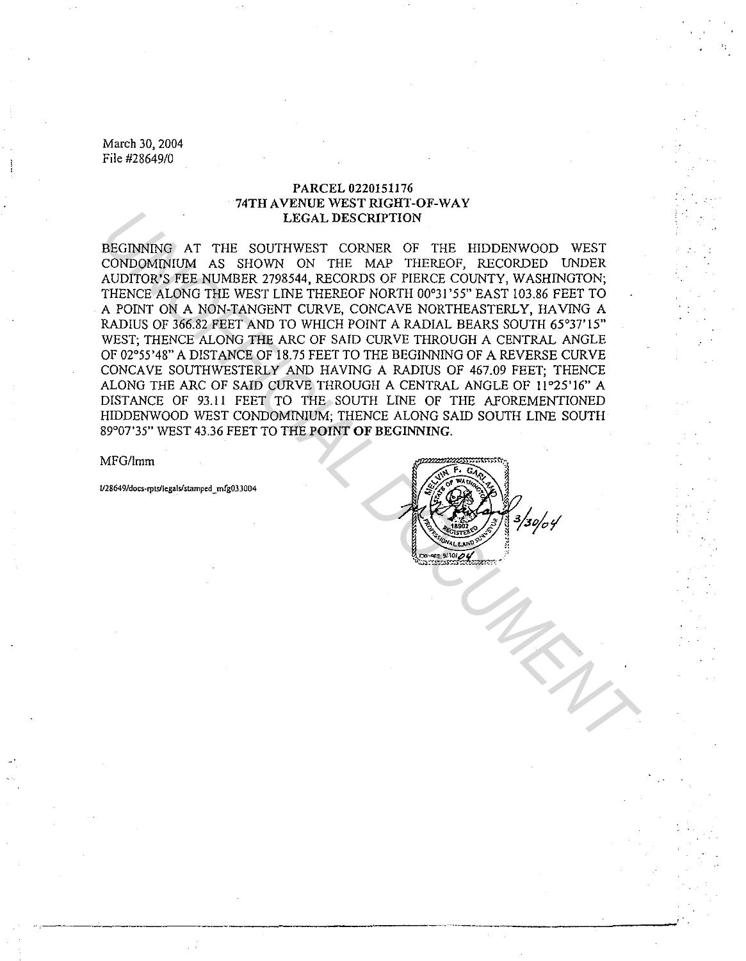### PARCEL 0220151176 74TH AVENUE WEST RIGHT-OF-WAY LEGAL DESCRIPTION

BEGINNING AT THE SOUTHWEST CORNER OF THE HIDDENWOOD WEST CONDOMINIUM AS SHOWN ON THE MAP THEREOF, RECORDED UNDER AUDITOR'S FEE NUMBER 2798544, RECORDS OF PIERCE COUNTY, WASHINGTON; THENCE ALONG THE WEST LINE THEREOF NORTH 00°31 '55" EAST 103.86 FEET TO A POINT ON A NON-TANGENT CURVE, CONCAVE NORTHEASTERLY, HAVING A RADIUS OF 366.82 FEET AND TO WHICH POINT A RADIAL BEARS SOUTH 65°37'15" WEST; THENCE ALONG THE ARC OF SAID CURVE THROUGH A CENTRAL ANGLE OF 02°55'48" A DISTANCE OF 18.75 FEET TO THE BEGINNING OF A REVERSE CURVE CONCAVE SOUTHWESTERLY AND HAVING A RADIUS OF 467.09 FEET; THENCE ALONG THE ARC OF SAID CURVE THROUGH A CENTRAL ANGLE OF 11°25'16" A DISTANCE OF 93.11 FEET TO THE SOUTH LINE OF THE AFOREMENTIONED HIDDENWOOD WEST CONDOMINIUM; THENCE ALONG SAID SOUTH LINE SOUTH 89°07'35" WEST 43.36 FEET TO THE POINT OF BEGINNING. LEGAL DESCRIPTION<br>
DESCRIPTION AT THE SOUTHWEST CONNECTOR CONDUCTION AS SHOWN ON THE MAP THEREOF, RECORDED UNDER AUDITOR'S FEE NUMBER 2798544, RECORDIS OF PIENCE COUNTY, WASHINGTON;<br>
THENCE ALONG THE MAP TIME REPLIGATION F

MFG/Imm

**U28649/docs-rpts/legals/stampcd \_ mfg03J004**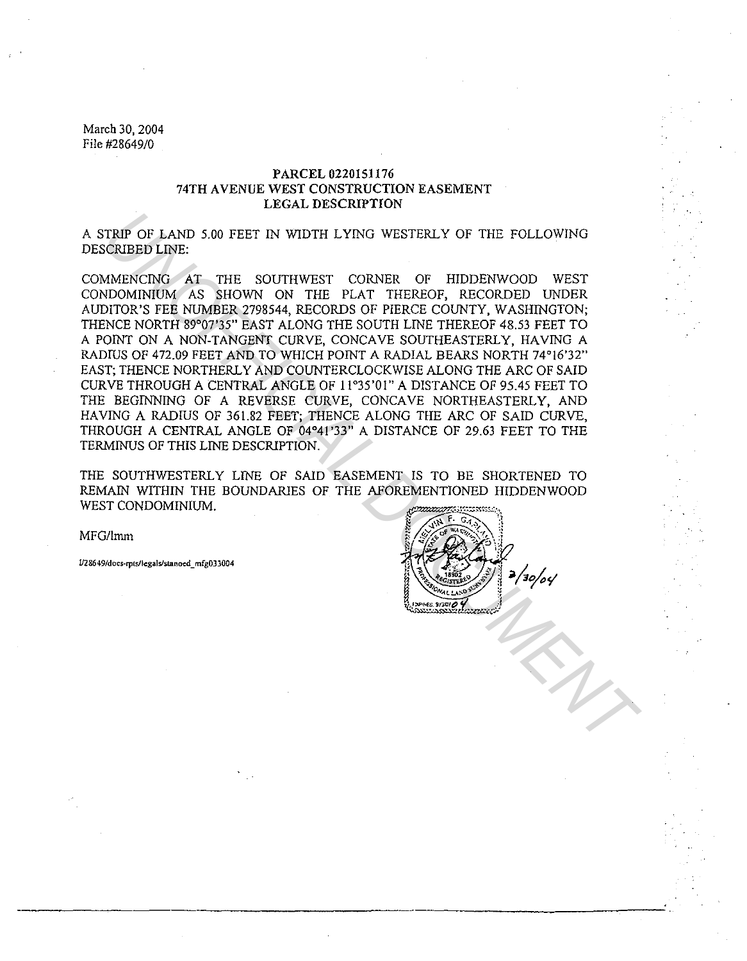### PARCEL 0220151176 74TH A VENUE WEST CONSTRUCTION EASEMENT LEGAL DESCRIPTION

A STRIP OF LAND 5.00 FEET IN WIDTH LYING WESTERLY OF THE FOLLOWING DESCRIBED LINE:

COMMENCING AT THE SOUTHWEST CORNER OF HIDDENWOOD WEST CONDOMINIUM AS SHOWN ON THE PLAT THEREOF, RECORDED UNDER AUDITOR'S FEE NUMBER 2798544, RECORDS OF PIERCE COUNTY, WASHINGTON; THENCE NORTH 89°07'35" EAST ALONG THE SOUTH LINE THEREOF 48.53 FEET TO A POINT ON A NON-TANGENT CURVE, CONCAVE SOUTHEASTERLY, HAVING A RADIUS OF 472.09 FEET AND TO WHICH POINT A RADIAL BEARS NORTH 74°16'32" EAST; THENCE NORTHERLY AND COUNTERCLOCKWISE ALONG THE ARC OF SAID CURVE THROUGH A CENTRAL ANGLE OF 11°35'01" A DISTANCE OF 95.45 FEET TO THE BEGINNING OF A REVERSE CURVE, CONCAVE NORTHEASTERLY, AND HAVING A RADIUS OF 361.82 FEET; THENCE ALONG THE ARC OF SAID CURVE, THROUGH A CENTRAL ANGLE OF 04°41'33" A DISTANCE OF 29.63 FEET TO THE TERMINUS OF THIS LINE DESCRIPTION. TRIP OF LAND 5.00 FEET IN WIDTH LYING WESTERLY OF THE FOLLOWING<br>
CORIBBIO LINE:<br>
MAENCING AT THE SOUTHWEST CORNER OF HIDDENWOOD WEST<br>
DIOMINION AS SHOWN ON THE PLAT THEREOF, RECORDED UNDER<br>
DITOR'S FEE NUMBER 2798544, RECO

THE SOUTHWESTERLY LINE OF SAID EASEMENT IS TO BE SHORTENED TO REMAIN WITHIN THE BOUNDARIES OF THE AFOREMENTIONED HIDDENWOOD WEST CONDOMINIUM.

MFG/lmm

lfl 86 **49/docs-rptsllcgalslstanoed \_ mfg033004** 

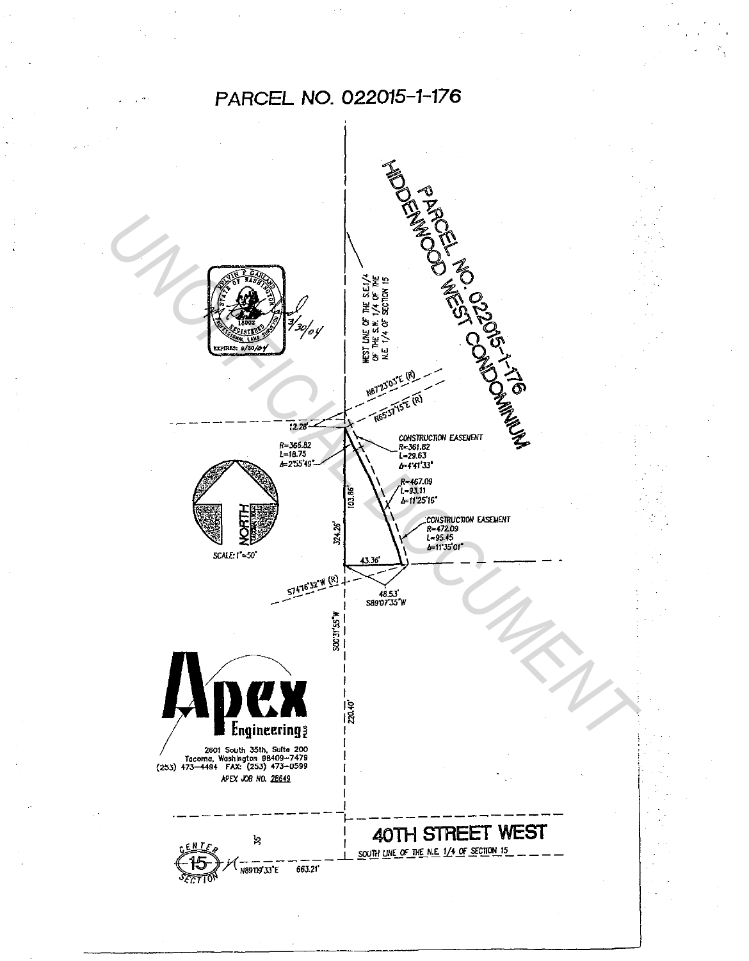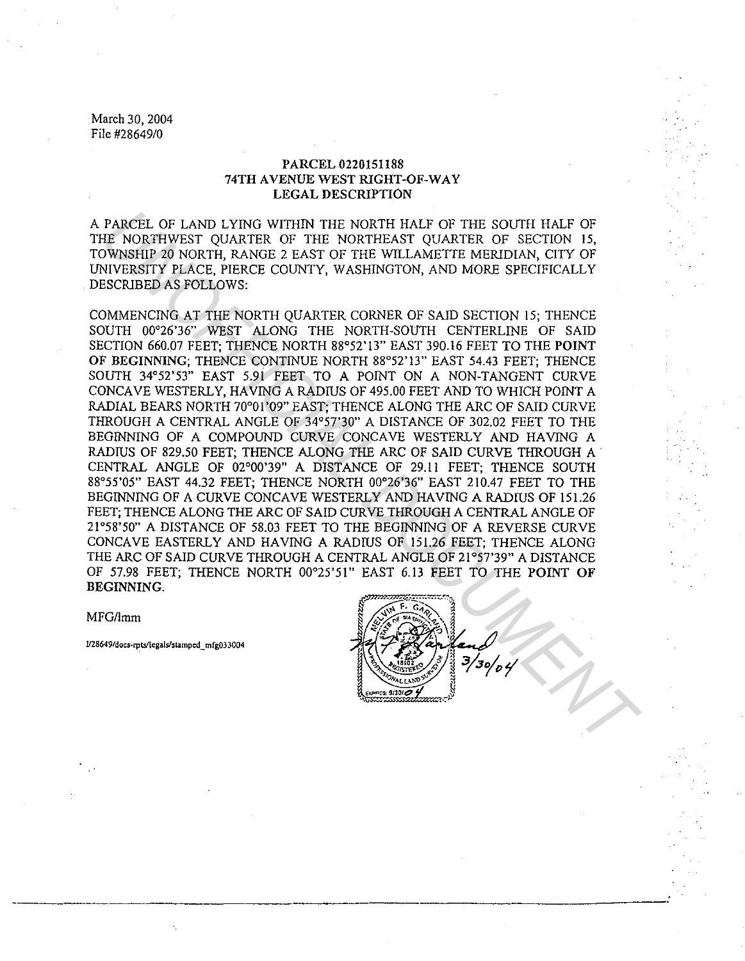### PARCEL 0220151188 74TH AVENUE WEST RIGHT-OF-WAY LEGAL DESCRIPTION

A PARCEL OF LAND LYING WITHIN THE NORTH HALF OF THE SOUTH HALF OF THE NORTHWEST QUARTER OF THE NORTHEAST QUARTER OF SECTION 15, TOWNSHIP 20 NORTH, RANGE 2 EAST OF THE WILLAMETTE MERIDIAN, CITY OF UNIVERSITY PLACE, PIERCE COUNTY, WASHINGTON, AND MORE SPECIFICALLY DESCRIBED AS FOLLOWS:

COMMENCING AT THE NORTH QUARTER CORNER OF SAID SECTION 15; THENCE SOUTH 00°26'36" WEST ALONG THE NORTH-SOUTH CENTERLINE OF SAID SECTION 660.07 FEET; THENCE NORTH 88°52'!3" EAST 390.16 FEET TO THE POINT OF BEGINNING; THENCE CONTINUE NORTH 88°52'13" EAST 54.43 FEET; THENCE SOUTH 34°52'53" EAST 5.91 FEET TO A POINT ON A NON-TANGENT CURVE CONCAVE WESTERLY, HAVING A RADIUS OF 495.00 FEET AND TO WHICH POINT A RADIAL BEARS NORTH 70°01'09" EAST; THENCE ALONG THE ARC OF SAID CURVE THROUGH A CENTRAL ANGLE OF 34°57'30" A DISTANCE OF 302.02 FEET TO THE BEGINNING OF A COMPOUND CURVE CONCAVE WESTERLY AND HAVING A RADIUS OF 829.50 FEET; THENCE ALONG THE ARC OF SAID CURVE THROUGH A . CENTRAL ANGLE OF 02°00'39" A DISTANCE OF 29.11 FEET; THENCE SOUTH 88°55'05" EAST 44.32 FEET; THENCE NORTH 00°26'36" EAST 210.47 FEET TO THE BEGINNING OF A CURVE CONCAVE WESTERLY AND HAVING A RADIUS OF 151.26 FEET; THENCE ALONG THE ARC OF SAID CURVE THROUGH A CENTRAL ANGLE OF 21°58'50" A DISTANCE OF 58.03 FEET TO THE BEGINNING OF A REVERSE CURVE CONCAVE EASTERLY AND HAVING A RADIUS OF 151.26 FEET; THENCE ALONG THE ARC OF SAID CURVE THROUGH A CENTRAL ANGLE OF 21°57'39" A DISTANCE OF 57.98 FEET; THENCE NORTH 00°25'51" EAST 6.13 FEET TO THE POINT OF BEGINNING. **PARCEL OF LAND LYING WITHIN THE NORTH HALF OF THE SOUTH HALF OF THE SOUTH HALF OF THE NORTHWEST CUARTER OF THE WILLAWETER OF SECTION 15, THENCE COUNTY, WASHINGTON, AND MORE SPECIFICALLY TO EXCISE TO FIGACIST PLACE. PHERCE** 

MFG/Imm

**l/28649/docs-rpts/legals/stamped\_mfg033004**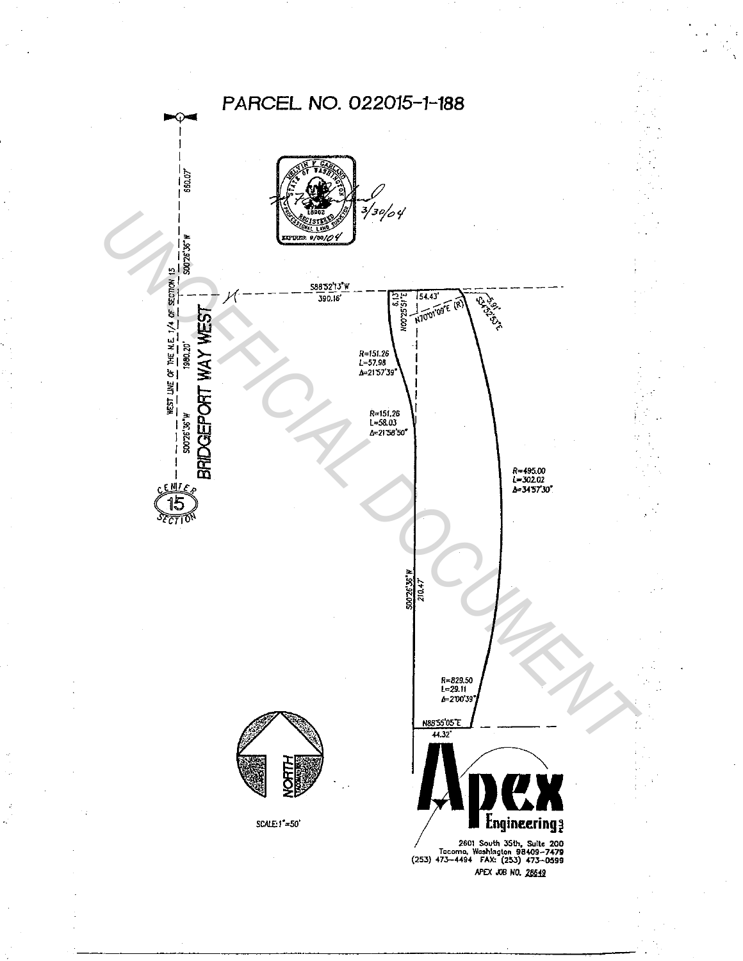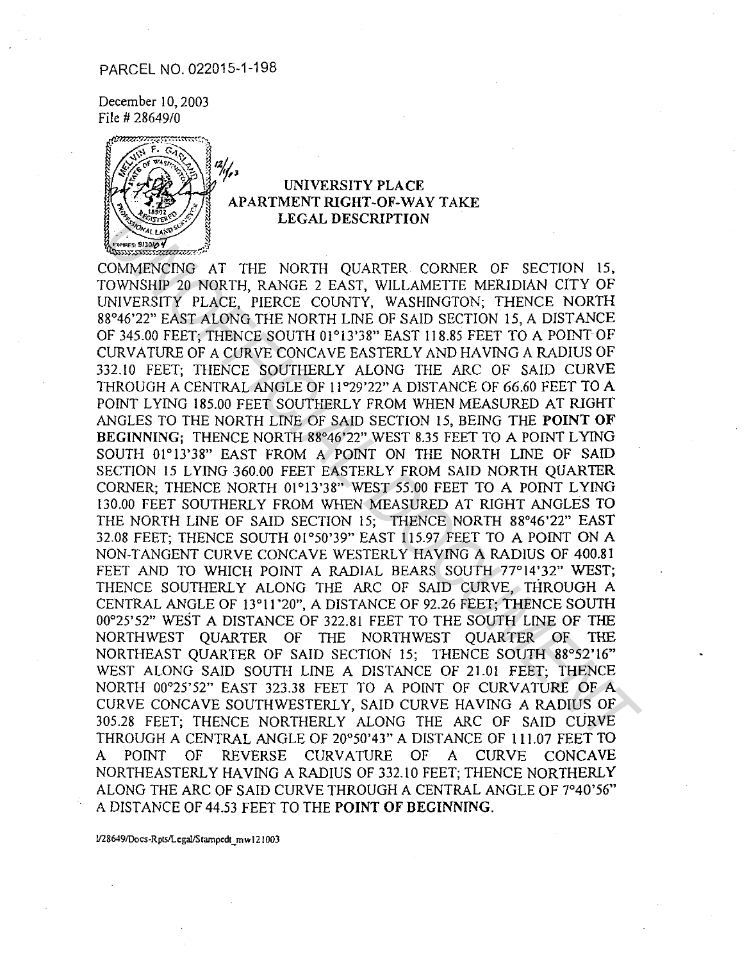### PARCEL NO. 022015-1-198

December IO, 2003 File # 2864910



## UNIVERSITY PLACE APARTMENT RIGHT-OF-WAY TAKE LEGAL DESCRIPTION

COMMENCING AT THE NORTH QUARTER CORNER OF SECTION 15, TOWNSHIP 20 NORTH, RANGE 2 EAST, WILLAMETTE MERIDIAN CITY OF UNIVERSITY PLACE, PIERCE COUNTY, WASHINGTON; THENCE NORTH 88°46'22" EAST ALONG THE NORTH LINE OF SAID SECTION 15, A DISTANCE OF 345.00 FEET; THENCE SOUTH 01°13'38" EAST 118.85 FEET TO A POINT OF CURVATURE OF A CURVE CONCAVE EASTERLY AND HAVING A RADIUS OF 332.10 FEET; THENCE SOUTHERLY ALONG THE ARC OF SAID CURVE THROUGH A CENTRAL ANGLE OF 11°29'22" A DISTANCE OF 66.60 FEET TO A POINT LYING 185.00 FEET SOUTHERLY FROM WHEN MEASURED AT RIGHT ANGLES TO THE NORTH LINE OF SAID SECTION 15, BEING THE POINT OF BEGINNING; THENCE NORTH 88°46'22" WEST 8.35 FEET TO A POINT LYING SOUTH 01°13'38" EAST FROM A POINT ON THE NORTH LINE OF SAID SECTION 15 LYING 360.00 FEET EASTERLY FROM SAID NORTH QUARTER CORNER; THENCE NORTH 01°13'38" WEST 55.00 FEET TO A POINT LYING 130.00 FEET SOUTHERLY FROM WHEN MEASURED AT RIGHT ANGLES TO THE NORTH LINE OF SAID SECTION IS; THENCE NORTH 88°46'22" EAST 32.08 FEET; THENCE SOUTH 01°50'39" EAST 115.97 FEET TO A POINT ON A NON-TANGENT CURVE CONCAVE WESTERLY HAVING A RADIUS OF 400.81 FEET AND TO WHICH POINT A RADIAL BEARS SOUTH 77°14'32" WEST; THENCE SOUTHERLY ALONG THE ARC OF SAID CURVE, THROUGH A CENTRAL ANGLE OF 13°11 '20", A DISTANCE OF 92.26 FEET; THENCE SOUTH 00°25'52" WEST A DISTANCE OF 322.81 FEET TO THE SOUTH LINE OF THE NORTHWEST QUARTER OF THE NORTHWEST QUARTER OF THE NORTHEAST QUARTER OF SAID SECTION 15; THENCE SOUTH 88°52'16" WEST ALONG SAID SOUTH LINE A DISTANCE OF 21.01 FEET; THENCE NORTH 00°25'52" EAST 323.38 FEET TO A POINT OF CURVATURE OF A CURVE CONCAVE SOUTHWESTERLY, SAID CURVE HAVING A RADIUS OF 305.28 FEET; THENCE NORTHERLY ALONG THE ARC OF SAID CURVE THROUGH A CENTRAL ANGLE OF 20°50'43" A DISTANCE OF 111.07 FEET TO A POINT OF REVERSE CURVATURE OF A CURVE CONCAVE NORTHEASTERLY HAVING A RADIUS OF 332.10 FEET; THENCE NORTHERLY ALONG THE ARC OF SAID CURVE THROUGH A CENTRAL ANGLE OF 7°40'56" A DISTANCE OF 44.53 FEET TO THE POINT OF BEGINNING. LEGAL DESCRIPTION<br>
MONARCONG AT THE NORTH QUARTER CORNER OF SECTION 15,<br>
OWNISHIP 20 NORTH, RANGE 2 EAST, WILLAMETTE MERIDIAN CITY OF<br>
NIVERSITY PLACE, PIERCE COUNTY, WASHINGTON, THENCE NORTHE<br>
FRASIO FEET; THENCE SOUTH OF

U286491Docs-Rpts/l.cgal/Srampcdr\_ mw 121003